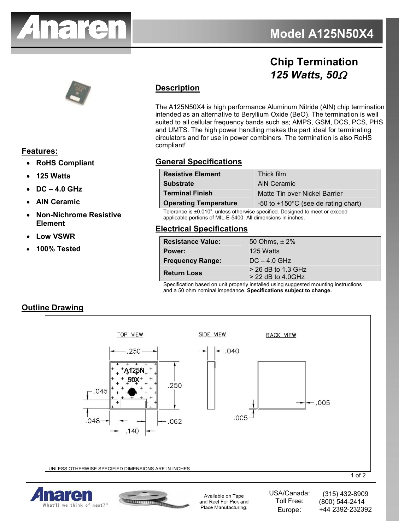

## **Chip Termination**  *125 Watts, 50*Ω



# **Features:**

- **RoHS Compliant**
- **125 Watts**
- **DC 4.0 GHz**
- **AlN Ceramic**
- **Non-Nichrome Resistive Element**
- **Low VSWR**
- **100% Tested**

## **Description**

The A125N50X4 is high performance Aluminum Nitride (AlN) chip termination intended as an alternative to Beryllium Oxide (BeO). The termination is well suited to all cellular frequency bands such as; AMPS, GSM, DCS, PCS, PHS and UMTS. The high power handling makes the part ideal for terminating circulators and for use in power combiners. The termination is also RoHS compliant!

## **General Specifications**

| <b>Resistive Element</b>                         | Thick film                                      |
|--------------------------------------------------|-------------------------------------------------|
| <b>Substrate</b>                                 | AIN Ceramic                                     |
| <b>Terminal Finish</b>                           | Matte Tin over Nickel Barrier                   |
| <b>Operating Temperature</b>                     | $-50$ to $+150^{\circ}$ C (see de rating chart) |
| $\sim$ $\sim$ $\sim$ $\sim$ $\sim$ $\sim$ $\sim$ |                                                 |

Tolerance is ±0.010", unless otherwise specified. Designed to meet or exceed applicable portions of MIL-E-5400. All dimensions in inches.

### **Electrical Specifications**

| <b>Resistance Value:</b>                                            | 50 Ohms, $\pm 2\%$                                       |
|---------------------------------------------------------------------|----------------------------------------------------------|
| Power:                                                              | 125 Watts                                                |
| <b>Frequency Range:</b>                                             | $DC - 4.0$ GHz                                           |
| <b>Return Loss</b><br>$\overline{\phantom{a}}$<br>$\sim$<br>$\cdot$ | $>$ 26 dB to 1.3 GHz                                     |
|                                                                     | $>$ 22 dB to 4.0GHz<br>.<br>$\cdot$ $\cdot$<br>$\cdot$ . |

Specification based on unit properly installed using suggested mounting instructions and a 50 ohm nominal impedance. **Specifications subject to change.**









Available on Tape and Reel For Pick and Place Manufacturing.

USA/Canada: Toll Free: Europe: (315) 432-8909 (800) 544-2414 +44 2392-232392